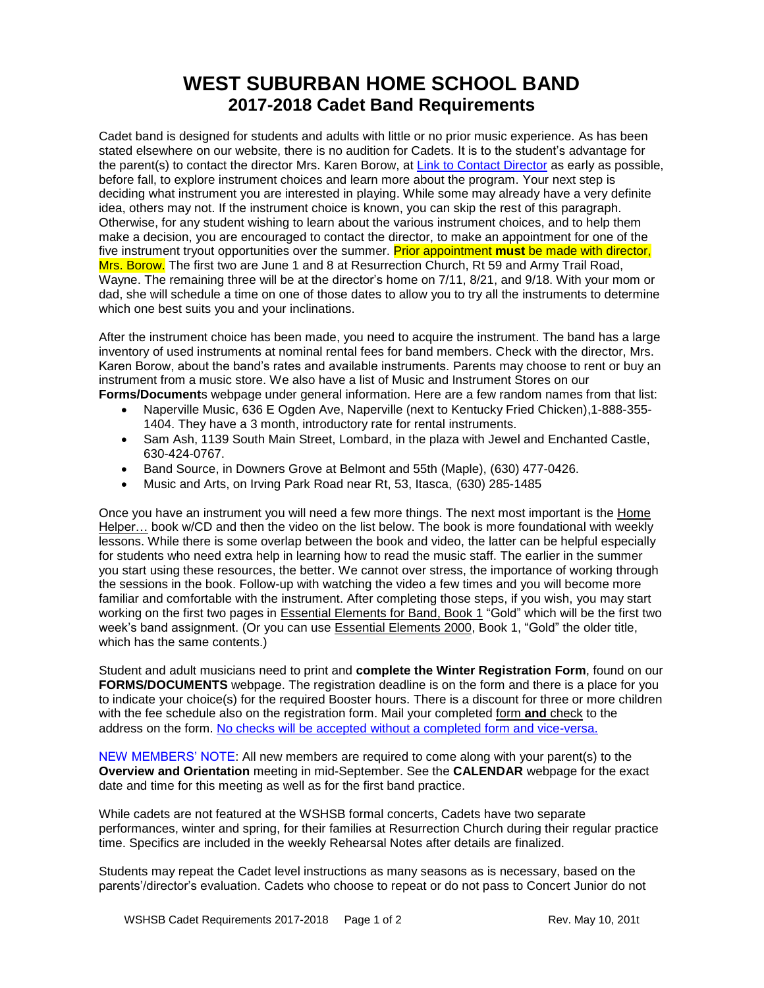## **WEST SUBURBAN HOME SCHOOL BAND 2017-2018 Cadet Band Requirements**

Cadet band is designed for students and adults with little or no prior music experience. As has been stated elsewhere on our website, there is no audition for Cadets. It is to the student's advantage for the parent(s) to contact the director Mrs. Karen Borow, at [Link to Contact Director](http://www.wshsb.org/directorform.html) as early as possible, before fall, to explore instrument choices and learn more about the program. Your next step is deciding what instrument you are interested in playing. While some may already have a very definite idea, others may not. If the instrument choice is known, you can skip the rest of this paragraph. Otherwise, for any student wishing to learn about the various instrument choices, and to help them make a decision, you are encouraged to contact the director, to make an appointment for one of the five instrument tryout opportunities over the summer. Prior appointment **must** be made with director, Mrs. Borow. The first two are June 1 and 8 at Resurrection Church, Rt 59 and Army Trail Road, Wayne. The remaining three will be at the director's home on 7/11, 8/21, and 9/18. With your mom or dad, she will schedule a time on one of those dates to allow you to try all the instruments to determine which one best suits you and your inclinations.

After the instrument choice has been made, you need to acquire the instrument. The band has a large inventory of used instruments at nominal rental fees for band members. Check with the director, Mrs. Karen Borow, about the band's rates and available instruments. Parents may choose to rent or buy an instrument from a music store. We also have a list of Music and Instrument Stores on our **Forms/Document**s webpage under general information. Here are a few random names from that list:

- Naperville Music, 636 E Ogden Ave, Naperville (next to Kentucky Fried Chicken),1-888-355- 1404. They have a 3 month, introductory rate for rental instruments.
- Sam Ash, 1139 South Main Street, Lombard, in the plaza with Jewel and Enchanted Castle, 630-424-0767.
- Band Source, in Downers Grove at Belmont and 55th (Maple), (630) 477-0426.
- Music and Arts, on Irving Park Road near Rt, 53, Itasca, (630) 285-1485

Once you have an instrument you will need a few more things. The next most important is the Home Helper… book w/CD and then the video on the list below. The book is more foundational with weekly lessons. While there is some overlap between the book and video, the latter can be helpful especially for students who need extra help in learning how to read the music staff. The earlier in the summer you start using these resources, the better. We cannot over stress, the importance of working through the sessions in the book. Follow-up with watching the video a few times and you will become more familiar and comfortable with the instrument. After completing those steps, if you wish, you may start working on the first two pages in **Essential Elements for Band, Book 1** "Gold" which will be the first two week's band assignment. (Or you can use Essential Elements 2000, Book 1, "Gold" the older title, which has the same contents.)

Student and adult musicians need to print and **complete the Winter Registration Form**, found on our **FORMS/DOCUMENTS** webpage. The registration deadline is on the form and there is a place for you to indicate your choice(s) for the required Booster hours. There is a discount for three or more children with the fee schedule also on the registration form. Mail your completed form **and** check to the address on the form. No checks will be accepted without a completed form and vice-versa.

NEW MEMBERS' NOTE: All new members are required to come along with your parent(s) to the **Overview and Orientation** meeting in mid-September. See the **CALENDAR** webpage for the exact date and time for this meeting as well as for the first band practice.

While cadets are not featured at the WSHSB formal concerts, Cadets have two separate performances, winter and spring, for their families at Resurrection Church during their regular practice time. Specifics are included in the weekly Rehearsal Notes after details are finalized.

Students may repeat the Cadet level instructions as many seasons as is necessary, based on the parents'/director's evaluation. Cadets who choose to repeat or do not pass to Concert Junior do not